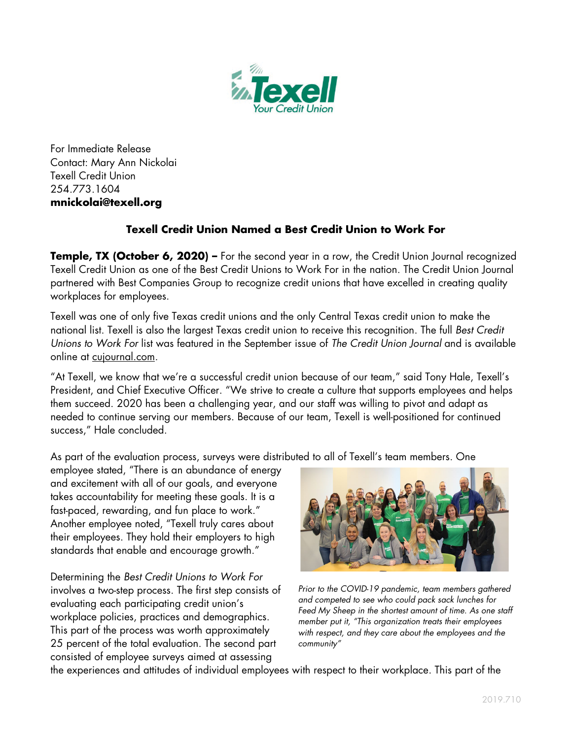

For Immediate Release Contact: Mary Ann Nickolai Texell Credit Union 254.773.1604 **mnickolai@texell.org**

## **Texell Credit Union Named a Best Credit Union to Work For**

**Temple, TX (October 6, 2020)** – For the second year in a row, the Credit Union Journal recognized Texell Credit Union as one of the Best Credit Unions to Work For in the nation. The Credit Union Journal partnered with Best Companies Group to recognize credit unions that have excelled in creating quality workplaces for employees.

Texell was one of only five Texas credit unions and the only Central Texas credit union to make the national list. Texell is also the largest Texas credit union to receive this recognition. The full *Best Credit Unions to Work For* list was featured in the September issue of *The Credit Union Journal* and is available online at [cujournal.com.](https://www.americanbanker.com/creditunions/list/the-best-credit-unions-to-work-for)

"At Texell, we know that we're a successful credit union because of our team," said Tony Hale, Texell's President, and Chief Executive Officer. "We strive to create a culture that supports employees and helps them succeed. 2020 has been a challenging year, and our staff was willing to pivot and adapt as needed to continue serving our members. Because of our team, Texell is well-positioned for continued success," Hale concluded.

As part of the evaluation process, surveys were distributed to all of Texell's team members. One

employee stated, "There is an abundance of energy and excitement with all of our goals, and everyone takes accountability for meeting these goals. It is a fast-paced, rewarding, and fun place to work." Another employee noted, "Texell truly cares about their employees. They hold their employers to high standards that enable and encourage growth."

Determining the *Best Credit Unions to Work For* involves a two-step process. The first step consists of evaluating each participating credit union's workplace policies, practices and demographics. This part of the process was worth approximately 25 percent of the total evaluation. The second part consisted of employee surveys aimed at assessing



*Prior to the COVID-19 pandemic, team members gathered and competed to see who could pack sack lunches for Feed My Sheep in the shortest amount of time. As one staff member put it, "This organization treats their employees with respect, and they care about the employees and the community"*

the experiences and attitudes of individual employees with respect to their workplace. This part of the